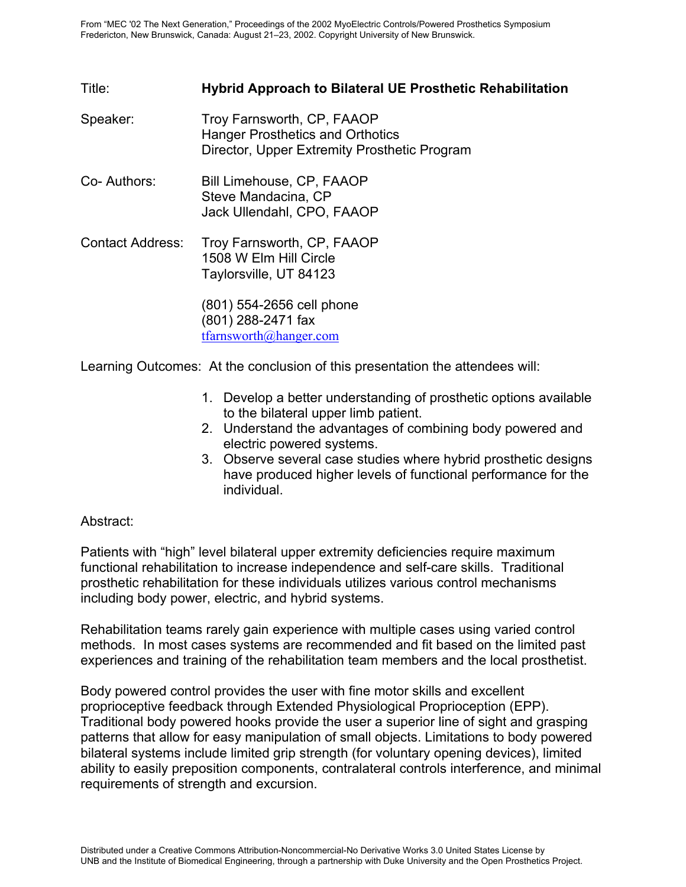## Title: **Hybrid Approach to Bilateral UE Prosthetic Rehabilitation**

- Speaker: Troy Farnsworth, CP, FAAOP Hanger Prosthetics and Orthotics Director, Upper Extremity Prosthetic Program
- Co- Authors: Bill Limehouse, CP, FAAOP Steve Mandacina, CP Jack Ullendahl, CPO, FAAOP
- Contact Address: Troy Farnsworth, CP, FAAOP 1508 W Elm Hill Circle Taylorsville, UT 84123

(801) 554-2656 cell phone (801) 288-2471 fax tfarnsworth@hanger.com

Learning Outcomes: At the conclusion of this presentation the attendees will:

- 1. Develop a better understanding of prosthetic options available to the bilateral upper limb patient.
- 2. Understand the advantages of combining body powered and electric powered systems.
- 3. Observe several case studies where hybrid prosthetic designs have produced higher levels of functional performance for the individual.

## Abstract:

Patients with "high" level bilateral upper extremity deficiencies require maximum functional rehabilitation to increase independence and self-care skills. Traditional prosthetic rehabilitation for these individuals utilizes various control mechanisms including body power, electric, and hybrid systems.

Rehabilitation teams rarely gain experience with multiple cases using varied control methods. In most cases systems are recommended and fit based on the limited past experiences and training of the rehabilitation team members and the local prosthetist.

Body powered control provides the user with fine motor skills and excellent proprioceptive feedback through Extended Physiological Proprioception (EPP). Traditional body powered hooks provide the user a superior line of sight and grasping patterns that allow for easy manipulation of small objects. Limitations to body powered bilateral systems include limited grip strength (for voluntary opening devices), limited ability to easily preposition components, contralateral controls interference, and minimal requirements of strength and excursion.